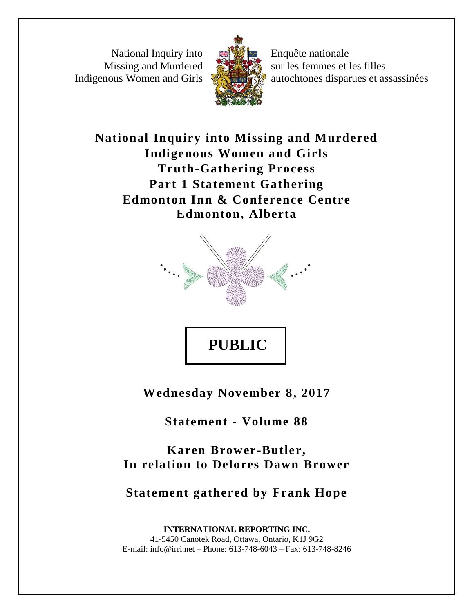National Inquiry into Missing and Murdered Indigenous Women and Girls



Enquête nationale sur les femmes et les filles autochtones disparues et assassinées

**National Inquiry into Missing and Murdered Indigenous Women and Girls Truth-Gathering Process Part 1 Statement Gathering Edmonton Inn & Conference Centre Edmonton, Alberta**



**Wednesday November 8, 2017**

**Statement - Volume 88**

**Karen Brower-Butler, In relation to Delores Dawn Brower**

**Statement gathered by Frank Hope**

**INTERNATIONAL REPORTING INC.** 41-5450 Canotek Road, Ottawa, Ontario, K1J 9G2 E-mail: info@irri.net – Phone: 613-748-6043 – Fax: 613-748-8246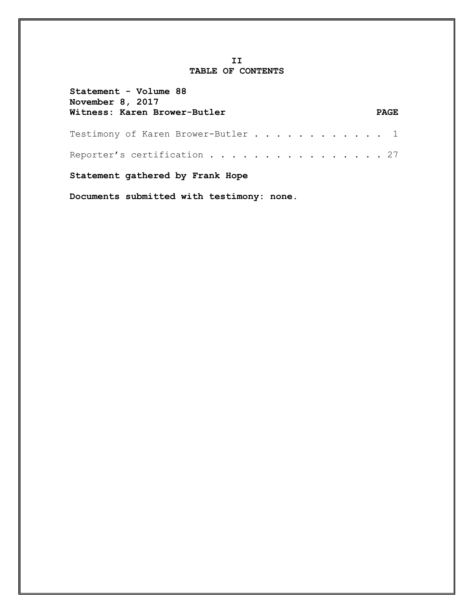#### **II TABLE OF CONTENTS**

| Statement - Volume 88<br>November 8, 2017<br>Witness: Karen Brower-Butler | <b>PAGE</b> |  |  |
|---------------------------------------------------------------------------|-------------|--|--|
| Testimony of Karen Brower-Butler 1                                        |             |  |  |
| Reporter's certification 27                                               |             |  |  |
| Statement gathered by Frank Hope                                          |             |  |  |

**Documents submitted with testimony: none.**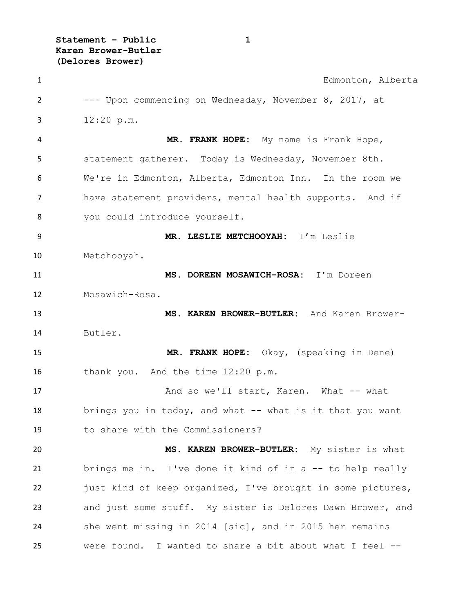**Statement – Public 1 Karen Brower-Butler (Delores Brower)**

 Edmonton, Alberta --- Upon commencing on Wednesday, November 8, 2017, at 12:20 p.m. **MR. FRANK HOPE:** My name is Frank Hope, statement gatherer. Today is Wednesday, November 8th. We're in Edmonton, Alberta, Edmonton Inn. In the room we have statement providers, mental health supports. And if you could introduce yourself. **MR. LESLIE METCHOOYAH:** I'm Leslie Metchooyah. **MS. DOREEN MOSAWICH-ROSA:** I'm Doreen Mosawich-Rosa. **MS. KAREN BROWER-BUTLER:** And Karen Brower- Butler. **MR. FRANK HOPE:** Okay, (speaking in Dene) 16 thank you. And the time 12:20 p.m. 17 And so we'll start, Karen. What -- what brings you in today, and what -- what is it that you want to share with the Commissioners? **MS. KAREN BROWER-BUTLER:** My sister is what brings me in. I've done it kind of in a -- to help really 22 just kind of keep organized, I've brought in some pictures, and just some stuff. My sister is Delores Dawn Brower, and she went missing in 2014 [sic], and in 2015 her remains were found. I wanted to share a bit about what I feel --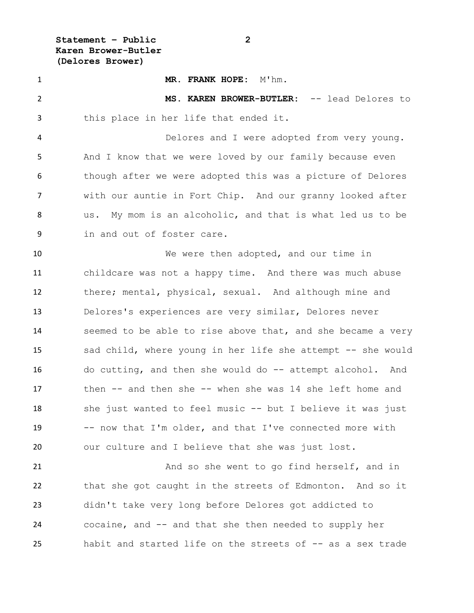**Statement – Public 2 Karen Brower-Butler (Delores Brower)**

 **MR. FRANK HOPE:** M'hm. **MS. KAREN BROWER-BUTLER:** -- lead Delores to this place in her life that ended it. Delores and I were adopted from very young. And I know that we were loved by our family because even though after we were adopted this was a picture of Delores with our auntie in Fort Chip. And our granny looked after us. My mom is an alcoholic, and that is what led us to be in and out of foster care. We were then adopted, and our time in childcare was not a happy time. And there was much abuse there; mental, physical, sexual. And although mine and Delores's experiences are very similar, Delores never seemed to be able to rise above that, and she became a very sad child, where young in her life she attempt -- she would do cutting, and then she would do -- attempt alcohol. And then -- and then she -- when she was 14 she left home and she just wanted to feel music -- but I believe it was just -- now that I'm older, and that I've connected more with our culture and I believe that she was just lost. 21 And so she went to go find herself, and in

 that she got caught in the streets of Edmonton. And so it didn't take very long before Delores got addicted to cocaine, and -- and that she then needed to supply her habit and started life on the streets of -- as a sex trade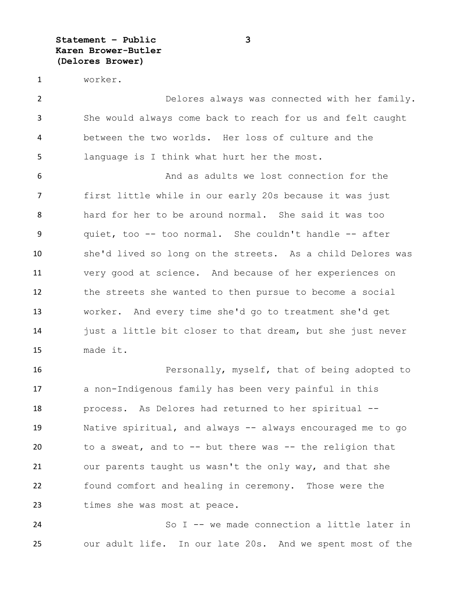**Statement – Public 3 Karen Brower-Butler (Delores Brower)**

worker.

 Delores always was connected with her family. She would always come back to reach for us and felt caught between the two worlds. Her loss of culture and the language is I think what hurt her the most.

 And as adults we lost connection for the first little while in our early 20s because it was just hard for her to be around normal. She said it was too quiet, too -- too normal. She couldn't handle -- after she'd lived so long on the streets. As a child Delores was very good at science. And because of her experiences on the streets she wanted to then pursue to become a social worker. And every time she'd go to treatment she'd get just a little bit closer to that dream, but she just never made it.

**Personally, myself, that of being adopted to**  a non-Indigenous family has been very painful in this process. As Delores had returned to her spiritual -- Native spiritual, and always -- always encouraged me to go to a sweat, and to -- but there was -- the religion that our parents taught us wasn't the only way, and that she found comfort and healing in ceremony. Those were the times she was most at peace.

 So I -- we made connection a little later in our adult life. In our late 20s. And we spent most of the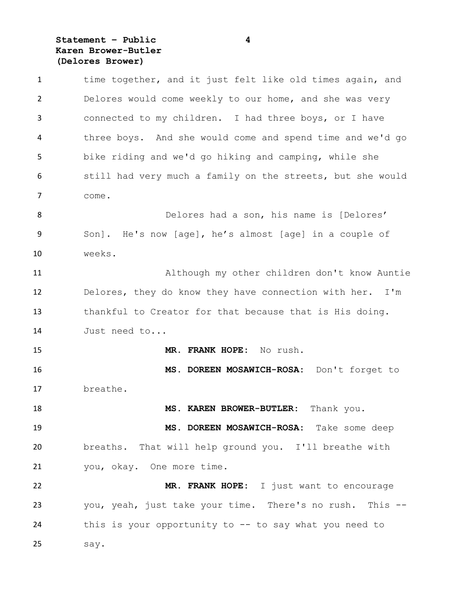# **Statement – Public 4 Karen Brower-Butler (Delores Brower)**

| $\mathbf{1}$   | time together, and it just felt like old times again, and  |
|----------------|------------------------------------------------------------|
| $\overline{2}$ | Delores would come weekly to our home, and she was very    |
| 3              | connected to my children. I had three boys, or I have      |
| 4              | three boys. And she would come and spend time and we'd go  |
| 5              | bike riding and we'd go hiking and camping, while she      |
| 6              | still had very much a family on the streets, but she would |
| 7              | come.                                                      |
| 8              | Delores had a son, his name is [Delores'                   |
| 9              | Son]. He's now [age], he's almost [age] in a couple of     |
| 10             | weeks.                                                     |
| 11             | Although my other children don't know Auntie               |
| 12             | Delores, they do know they have connection with her. I'm   |
| 13             | thankful to Creator for that because that is His doing.    |
| 14             | Just need to                                               |
| 15             | MR. FRANK HOPE: No rush.                                   |
| 16             | MS. DOREEN MOSAWICH-ROSA: Don't forget to                  |
| 17             | breathe.                                                   |
| 18             | MS. KAREN BROWER-BUTLER:<br>Thank you.                     |
| 19             | MS. DOREEN MOSAWICH-ROSA: Take some deep                   |
| 20             | breaths. That will help ground you. I'll breathe with      |
| 21             | you, okay. One more time.                                  |
| 22             | MR. FRANK HOPE: I just want to encourage                   |
| 23             | you, yeah, just take your time. There's no rush. This --   |
| 24             | this is your opportunity to -- to say what you need to     |
| 25             | say.                                                       |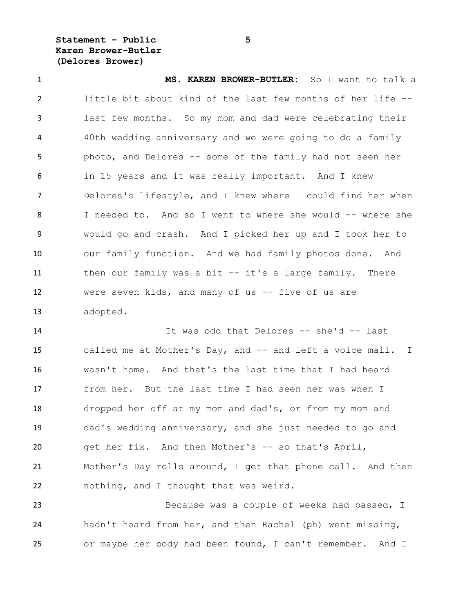**Statement – Public 5 Karen Brower-Butler (Delores Brower)**

 **MS. KAREN BROWER-BUTLER:** So I want to talk a little bit about kind of the last few months of her life -- last few months. So my mom and dad were celebrating their 40th wedding anniversary and we were going to do a family photo, and Delores -- some of the family had not seen her in 15 years and it was really important. And I knew Delores's lifestyle, and I knew where I could find her when 8 I needed to. And so I went to where she would -- where she would go and crash. And I picked her up and I took her to our family function. And we had family photos done. And then our family was a bit -- it's a large family. There were seven kids, and many of us -- five of us are adopted.

 It was odd that Delores -- she'd -- last called me at Mother's Day, and -- and left a voice mail. I wasn't home. And that's the last time that I had heard from her. But the last time I had seen her was when I dropped her off at my mom and dad's, or from my mom and dad's wedding anniversary, and she just needed to go and get her fix. And then Mother's -- so that's April, Mother's Day rolls around, I get that phone call. And then nothing, and I thought that was weird.

 Because was a couple of weeks had passed, I hadn't heard from her, and then Rachel (ph) went missing, or maybe her body had been found, I can't remember. And I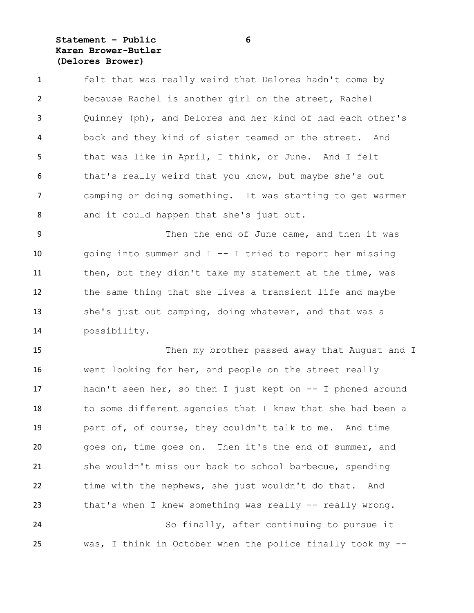### **Statement – Public 6 Karen Brower-Butler (Delores Brower)**

 felt that was really weird that Delores hadn't come by because Rachel is another girl on the street, Rachel Quinney (ph), and Delores and her kind of had each other's back and they kind of sister teamed on the street. And that was like in April, I think, or June. And I felt that's really weird that you know, but maybe she's out camping or doing something. It was starting to get warmer and it could happen that she's just out.

9 Then the end of June came, and then it was going into summer and I -- I tried to report her missing 11 then, but they didn't take my statement at the time, was the same thing that she lives a transient life and maybe she's just out camping, doing whatever, and that was a possibility.

 Then my brother passed away that August and I went looking for her, and people on the street really hadn't seen her, so then I just kept on -- I phoned around to some different agencies that I knew that she had been a part of, of course, they couldn't talk to me. And time goes on, time goes on. Then it's the end of summer, and she wouldn't miss our back to school barbecue, spending time with the nephews, she just wouldn't do that. And 23 that's when I knew something was really -- really wrong. So finally, after continuing to pursue it was, I think in October when the police finally took my --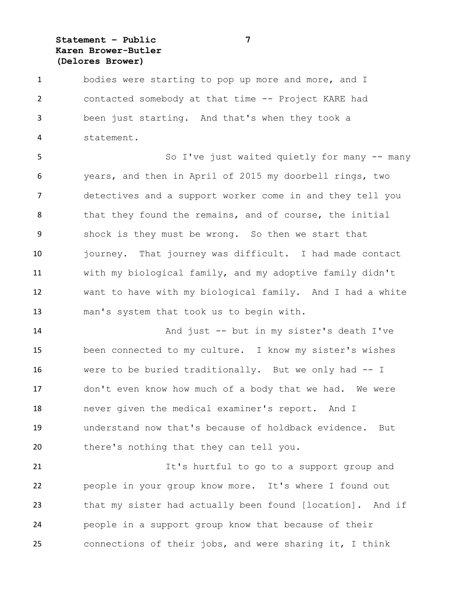### **Statement – Public 7 Karen Brower-Butler (Delores Brower)**

 bodies were starting to pop up more and more, and I contacted somebody at that time -- Project KARE had been just starting. And that's when they took a statement.

 So I've just waited quietly for many -- many years, and then in April of 2015 my doorbell rings, two detectives and a support worker come in and they tell you 8 that they found the remains, and of course, the initial shock is they must be wrong. So then we start that journey. That journey was difficult. I had made contact with my biological family, and my adoptive family didn't want to have with my biological family. And I had a white man's system that took us to begin with.

 And just -- but in my sister's death I've been connected to my culture. I know my sister's wishes were to be buried traditionally. But we only had -- I don't even know how much of a body that we had. We were never given the medical examiner's report. And I understand now that's because of holdback evidence. But there's nothing that they can tell you.

 It's hurtful to go to a support group and people in your group know more. It's where I found out that my sister had actually been found [location]. And if people in a support group know that because of their connections of their jobs, and were sharing it, I think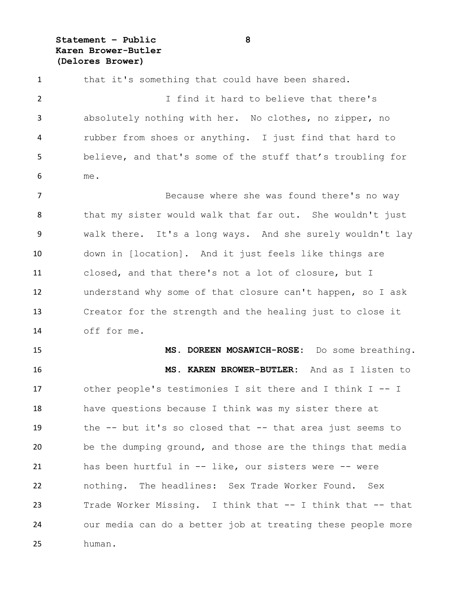**Statement – Public 8 Karen Brower-Butler (Delores Brower)**

1 that it's something that could have been shared. I find it hard to believe that there's absolutely nothing with her. No clothes, no zipper, no rubber from shoes or anything. I just find that hard to believe, and that's some of the stuff that's troubling for me. 7 Because where she was found there's no way that my sister would walk that far out. She wouldn't just walk there. It's a long ways. And she surely wouldn't lay down in [location]. And it just feels like things are closed, and that there's not a lot of closure, but I understand why some of that closure can't happen, so I ask

 Creator for the strength and the healing just to close it off for me.

 **MS. DOREEN MOSAWICH-ROSE:** Do some breathing. **MS. KAREN BROWER-BUTLER:** And as I listen to other people's testimonies I sit there and I think I -- I have questions because I think was my sister there at the -- but it's so closed that -- that area just seems to be the dumping ground, and those are the things that media has been hurtful in -- like, our sisters were -- were nothing. The headlines: Sex Trade Worker Found. Sex Trade Worker Missing. I think that -- I think that -- that our media can do a better job at treating these people more human.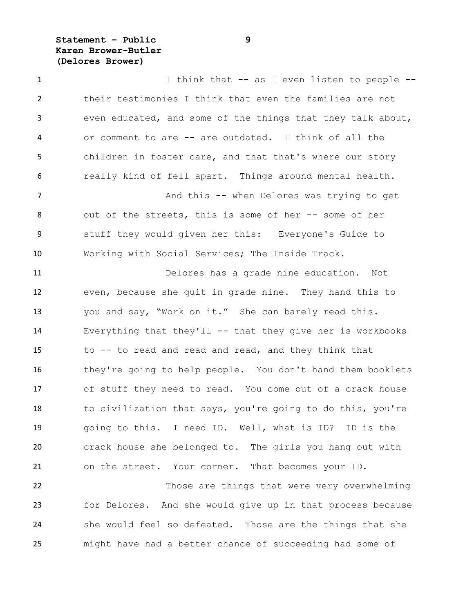**Statement – Public 9 Karen Brower-Butler (Delores Brower)**

 I think that -- as I even listen to people -- their testimonies I think that even the families are not even educated, and some of the things that they talk about, or comment to are -- are outdated. I think of all the children in foster care, and that that's where our story really kind of fell apart. Things around mental health. 7 And this -- when Delores was trying to get out of the streets, this is some of her -- some of her stuff they would given her this: Everyone's Guide to Working with Social Services; The Inside Track. Delores has a grade nine education. Not even, because she quit in grade nine. They hand this to you and say, "Work on it." She can barely read this. Everything that they'll -- that they give her is workbooks to -- to read and read and read, and they think that they're going to help people. You don't hand them booklets of stuff they need to read. You come out of a crack house 18 to civilization that says, you're going to do this, you're going to this. I need ID. Well, what is ID? ID is the crack house she belonged to. The girls you hang out with on the street. Your corner. That becomes your ID.

 Those are things that were very overwhelming for Delores. And she would give up in that process because she would feel so defeated. Those are the things that she might have had a better chance of succeeding had some of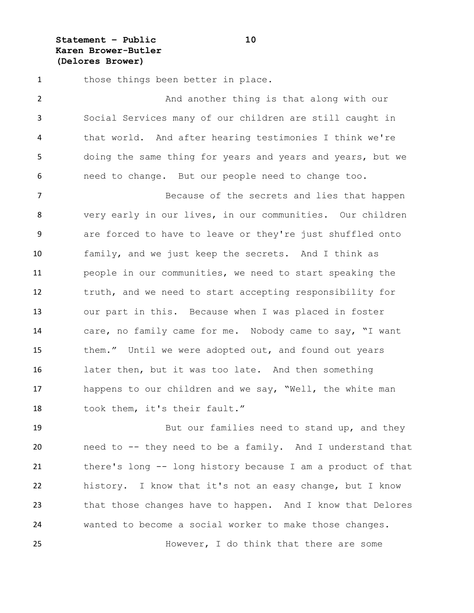**Statement – Public 10 Karen Brower-Butler (Delores Brower)**

1 those things been better in place.

 And another thing is that along with our Social Services many of our children are still caught in that world. And after hearing testimonies I think we're doing the same thing for years and years and years, but we need to change. But our people need to change too.

 Because of the secrets and lies that happen very early in our lives, in our communities. Our children are forced to have to leave or they're just shuffled onto family, and we just keep the secrets. And I think as people in our communities, we need to start speaking the truth, and we need to start accepting responsibility for our part in this. Because when I was placed in foster care, no family came for me. Nobody came to say, "I want 15 them." Until we were adopted out, and found out years later then, but it was too late. And then something happens to our children and we say, "Well, the white man 18 took them, it's their fault."

19 But our families need to stand up, and they need to -- they need to be a family. And I understand that there's long -- long history because I am a product of that history. I know that it's not an easy change, but I know that those changes have to happen. And I know that Delores wanted to become a social worker to make those changes.

However, I do think that there are some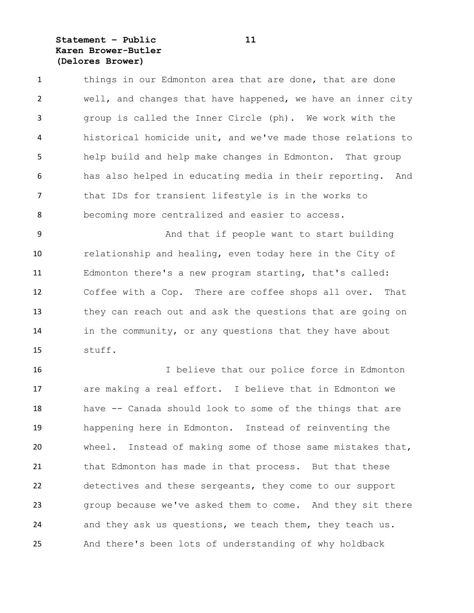### **Statement – Public 11 Karen Brower-Butler (Delores Brower)**

1 things in our Edmonton area that are done, that are done well, and changes that have happened, we have an inner city group is called the Inner Circle (ph). We work with the historical homicide unit, and we've made those relations to help build and help make changes in Edmonton. That group has also helped in educating media in their reporting. And that IDs for transient lifestyle is in the works to becoming more centralized and easier to access.

9 And that if people want to start building relationship and healing, even today here in the City of Edmonton there's a new program starting, that's called: Coffee with a Cop. There are coffee shops all over. That they can reach out and ask the questions that are going on in the community, or any questions that they have about stuff.

 I believe that our police force in Edmonton are making a real effort. I believe that in Edmonton we have -- Canada should look to some of the things that are happening here in Edmonton. Instead of reinventing the wheel. Instead of making some of those same mistakes that, that Edmonton has made in that process. But that these detectives and these sergeants, they come to our support group because we've asked them to come. And they sit there and they ask us questions, we teach them, they teach us. And there's been lots of understanding of why holdback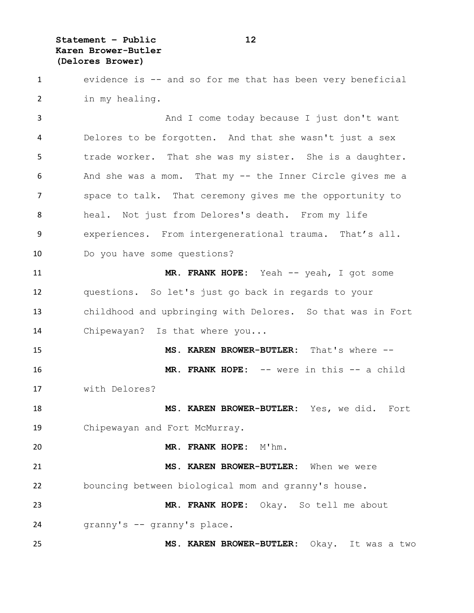**Statement – Public 12 Karen Brower-Butler (Delores Brower)**

 evidence is -- and so for me that has been very beneficial in my healing.

 And I come today because I just don't want Delores to be forgotten. And that she wasn't just a sex trade worker. That she was my sister. She is a daughter. And she was a mom. That my -- the Inner Circle gives me a space to talk. That ceremony gives me the opportunity to heal. Not just from Delores's death. From my life experiences. From intergenerational trauma. That's all. Do you have some questions?

 **MR. FRANK HOPE:** Yeah -- yeah, I got some questions. So let's just go back in regards to your childhood and upbringing with Delores. So that was in Fort 14 Chipewayan? Is that where you...

 **MS. KAREN BROWER-BUTLER:** That's where -- **MR. FRANK HOPE:** -- were in this -- a child with Delores?

 **MS. KAREN BROWER-BUTLER:** Yes, we did. Fort Chipewayan and Fort McMurray.

**MR. FRANK HOPE:** M'hm.

 **MS. KAREN BROWER-BUTLER:** When we were bouncing between biological mom and granny's house.

 **MR. FRANK HOPE:** Okay. So tell me about granny's -- granny's place.

**MS. KAREN BROWER-BUTLER:** Okay. It was a two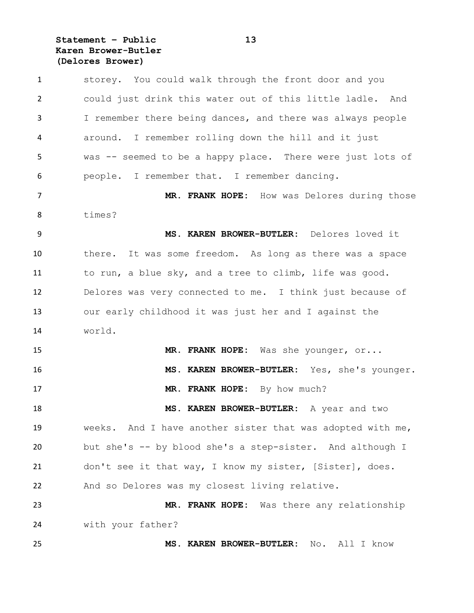# **Statement – Public 13 Karen Brower-Butler (Delores Brower)**

| $\mathbf{1}$   | storey. You could walk through the front door and you      |
|----------------|------------------------------------------------------------|
| $\overline{2}$ | could just drink this water out of this little ladle. And  |
| 3              | I remember there being dances, and there was always people |
| 4              | around. I remember rolling down the hill and it just       |
| 5              | was -- seemed to be a happy place. There were just lots of |
| 6              | people. I remember that. I remember dancing.               |
| 7              | MR. FRANK HOPE: How was Delores during those               |
| 8              | times?                                                     |
| 9              | MS. KAREN BROWER-BUTLER: Delores loved it                  |
| 10             | there. It was some freedom. As long as there was a space   |
| 11             | to run, a blue sky, and a tree to climb, life was good.    |
| 12             | Delores was very connected to me. I think just because of  |
| 13             | our early childhood it was just her and I against the      |
| 14             | world.                                                     |
| 15             | MR. FRANK HOPE: Was she younger, or                        |
| 16             | MS. KAREN BROWER-BUTLER: Yes, she's younger.               |
| 17             | MR. FRANK HOPE: By how much?                               |
| 18             | MS. KAREN BROWER-BUTLER: A year and two                    |
| 19             | weeks. And I have another sister that was adopted with me, |
| 20             | but she's -- by blood she's a step-sister. And although I  |
| 21             | don't see it that way, I know my sister, [Sister], does.   |
| 22             | And so Delores was my closest living relative.             |
| 23             | MR. FRANK HOPE: Was there any relationship                 |
| 24             | with your father?                                          |
| 25             | MS. KAREN BROWER-BUTLER:<br>All I know<br>No.              |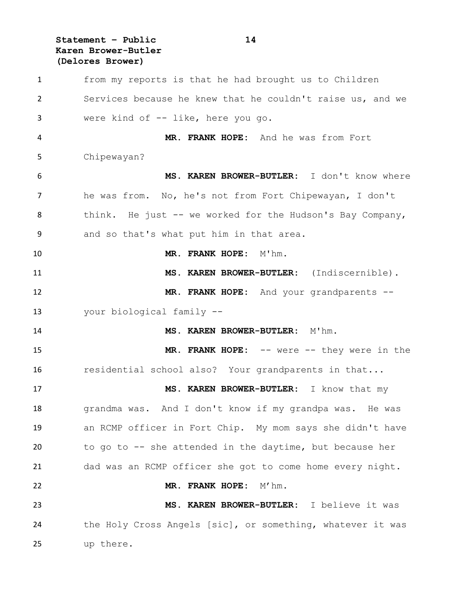**Statement – Public 14 Karen Brower-Butler (Delores Brower)**

 from my reports is that he had brought us to Children Services because he knew that he couldn't raise us, and we were kind of -- like, here you go. **MR. FRANK HOPE:** And he was from Fort Chipewayan? **MS. KAREN BROWER-BUTLER:** I don't know where he was from. No, he's not from Fort Chipewayan, I don't think. He just -- we worked for the Hudson's Bay Company, and so that's what put him in that area. **MR. FRANK HOPE:** M'hm. **MS. KAREN BROWER-BUTLER:** (Indiscernible). **MR. FRANK HOPE:** And your grandparents -- your biological family -- **MS. KAREN BROWER-BUTLER:** M'hm. **MR. FRANK HOPE:** -- were -- they were in the 16 residential school also? Your grandparents in that... **MS. KAREN BROWER-BUTLER:** I know that my grandma was. And I don't know if my grandpa was. He was an RCMP officer in Fort Chip. My mom says she didn't have to go to -- she attended in the daytime, but because her dad was an RCMP officer she got to come home every night. **MR. FRANK HOPE:** M'hm. **MS. KAREN BROWER-BUTLER:** I believe it was the Holy Cross Angels [sic], or something, whatever it was up there.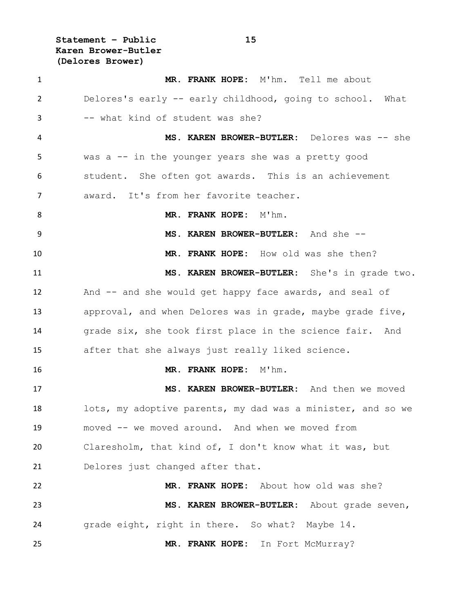**Statement – Public 15 Karen Brower-Butler (Delores Brower)**

 **MR. FRANK HOPE:** M'hm. Tell me about Delores's early -- early childhood, going to school. What -- what kind of student was she? **MS. KAREN BROWER-BUTLER:** Delores was -- she was a -- in the younger years she was a pretty good student. She often got awards. This is an achievement award. It's from her favorite teacher. **MR. FRANK HOPE:** M'hm. **MS. KAREN BROWER-BUTLER:** And she -- **MR. FRANK HOPE:** How old was she then? **MS. KAREN BROWER-BUTLER:** She's in grade two. 12 And -- and she would get happy face awards, and seal of approval, and when Delores was in grade, maybe grade five, grade six, she took first place in the science fair. And after that she always just really liked science. **MR. FRANK HOPE:** M'hm. **MS. KAREN BROWER-BUTLER:** And then we moved lots, my adoptive parents, my dad was a minister, and so we moved -- we moved around. And when we moved from Claresholm, that kind of, I don't know what it was, but Delores just changed after that. **MR. FRANK HOPE:** About how old was she? **MS. KAREN BROWER-BUTLER:** About grade seven, grade eight, right in there. So what? Maybe 14. **MR. FRANK HOPE:** In Fort McMurray?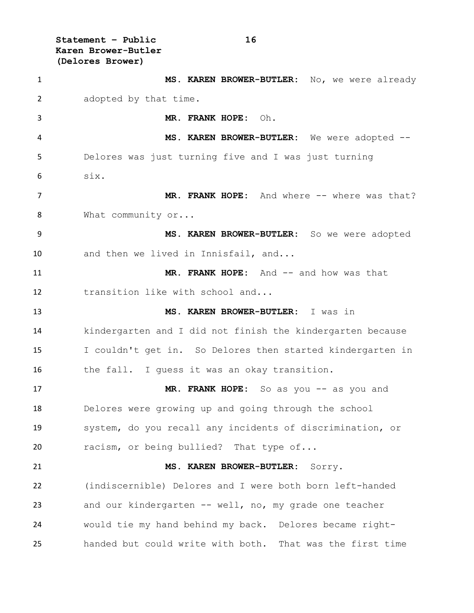**Karen Brower-Butler (Delores Brower) MS. KAREN BROWER-BUTLER:** No, we were already adopted by that time. **MR. FRANK HOPE:** Oh. **MS. KAREN BROWER-BUTLER:** We were adopted -- Delores was just turning five and I was just turning six. 7 MR. FRANK HOPE: And where -- where was that? 8 What community or... **MS. KAREN BROWER-BUTLER:** So we were adopted and then we lived in Innisfail, and... **MR. FRANK HOPE:** And -- and how was that transition like with school and... **MS. KAREN BROWER-BUTLER:** I was in kindergarten and I did not finish the kindergarten because I couldn't get in. So Delores then started kindergarten in the fall. I guess it was an okay transition. **MR. FRANK HOPE:** So as you -- as you and Delores were growing up and going through the school system, do you recall any incidents of discrimination, or 20 racism, or being bullied? That type of... **MS. KAREN BROWER-BUTLER:** Sorry. (indiscernible) Delores and I were both born left-handed and our kindergarten -- well, no, my grade one teacher would tie my hand behind my back. Delores became right-handed but could write with both. That was the first time

**Statement – Public 16**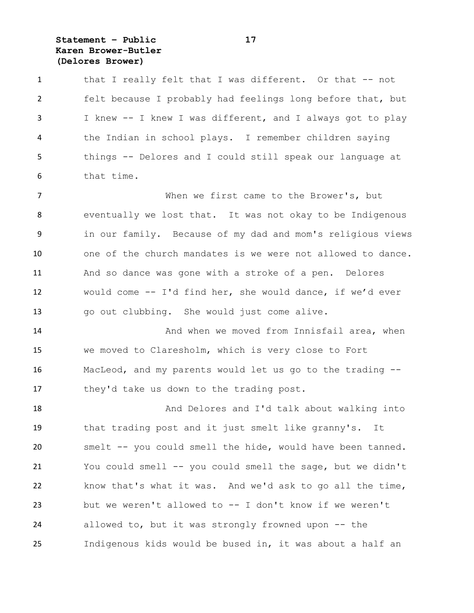# **Statement – Public 17 Karen Brower-Butler (Delores Brower)**

| $\mathbf{1}$   | that I really felt that I was different. Or that -- not     |
|----------------|-------------------------------------------------------------|
| $\overline{2}$ | felt because I probably had feelings long before that, but  |
| 3              | I knew -- I knew I was different, and I always got to play  |
| 4              | the Indian in school plays. I remember children saying      |
| 5              | things -- Delores and I could still speak our language at   |
| 6              | that time.                                                  |
| 7              | When we first came to the Brower's, but                     |
| 8              | eventually we lost that. It was not okay to be Indigenous   |
| 9              | in our family. Because of my dad and mom's religious views  |
| 10             | one of the church mandates is we were not allowed to dance. |
| 11             | And so dance was gone with a stroke of a pen. Delores       |
| 12             | would come -- I'd find her, she would dance, if we'd ever   |
| 13             | go out clubbing. She would just come alive.                 |
| 14             | And when we moved from Innisfail area, when                 |
| 15             | we moved to Claresholm, which is very close to Fort         |
| 16             | MacLeod, and my parents would let us go to the trading --   |
| 17             | they'd take us down to the trading post.                    |
| 18             | And Delores and I'd talk about walking into                 |
| 19             | that trading post and it just smelt like granny's. It       |
| 20             | smelt -- you could smell the hide, would have been tanned.  |
| 21             | You could smell -- you could smell the sage, but we didn't  |
| 22             | know that's what it was. And we'd ask to go all the time,   |
| 23             | but we weren't allowed to -- I don't know if we weren't     |
| 24             | allowed to, but it was strongly frowned upon -- the         |
| 25             | Indigenous kids would be bused in, it was about a half an   |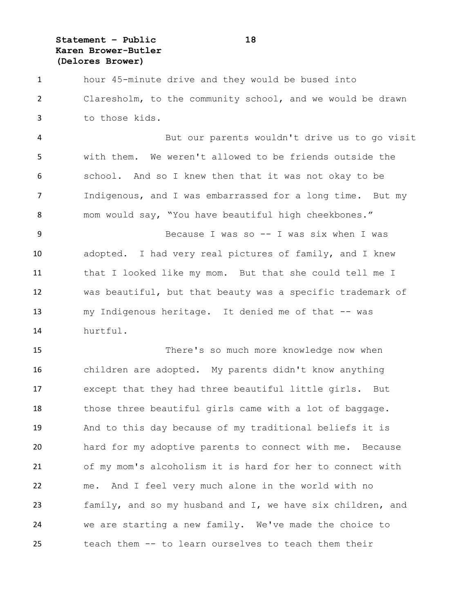**Statement – Public 18 Karen Brower-Butler (Delores Brower)**

 hour 45-minute drive and they would be bused into Claresholm, to the community school, and we would be drawn to those kids.

 But our parents wouldn't drive us to go visit with them. We weren't allowed to be friends outside the school. And so I knew then that it was not okay to be Indigenous, and I was embarrassed for a long time. But my mom would say, "You have beautiful high cheekbones."

 Because I was so -- I was six when I was adopted. I had very real pictures of family, and I knew that I looked like my mom. But that she could tell me I was beautiful, but that beauty was a specific trademark of 13 my Indigenous heritage. It denied me of that -- was hurtful.

 There's so much more knowledge now when children are adopted. My parents didn't know anything except that they had three beautiful little girls. But 18 those three beautiful girls came with a lot of baggage. And to this day because of my traditional beliefs it is hard for my adoptive parents to connect with me. Because of my mom's alcoholism it is hard for her to connect with me. And I feel very much alone in the world with no family, and so my husband and I, we have six children, and we are starting a new family. We've made the choice to teach them -- to learn ourselves to teach them their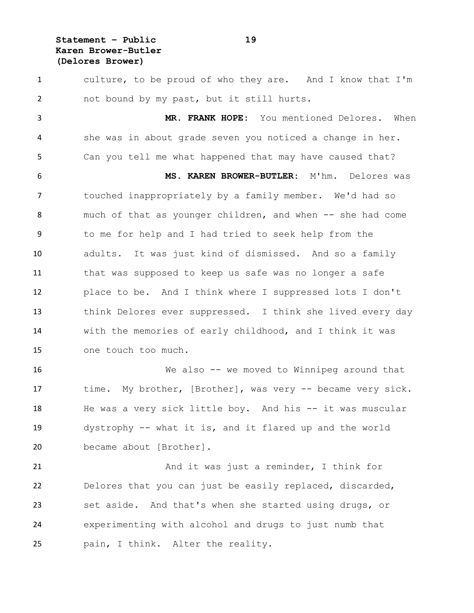**Statement – Public 19 Karen Brower-Butler (Delores Brower)**

 culture, to be proud of who they are. And I know that I'm not bound by my past, but it still hurts. **MR. FRANK HOPE:** You mentioned Delores. When she was in about grade seven you noticed a change in her. Can you tell me what happened that may have caused that? **MS. KAREN BROWER-BUTLER:** M'hm. Delores was touched inappropriately by a family member. We'd had so 8 much of that as younger children, and when -- she had come to me for help and I had tried to seek help from the adults. It was just kind of dismissed. And so a family that was supposed to keep us safe was no longer a safe place to be. And I think where I suppressed lots I don't think Delores ever suppressed. I think she lived every day with the memories of early childhood, and I think it was one touch too much. We also -- we moved to Winnipeg around that time. My brother, [Brother], was very -- became very sick. He was a very sick little boy. And his -- it was muscular dystrophy -- what it is, and it flared up and the world became about [Brother].

 And it was just a reminder, I think for Delores that you can just be easily replaced, discarded, set aside. And that's when she started using drugs, or experimenting with alcohol and drugs to just numb that pain, I think. Alter the reality.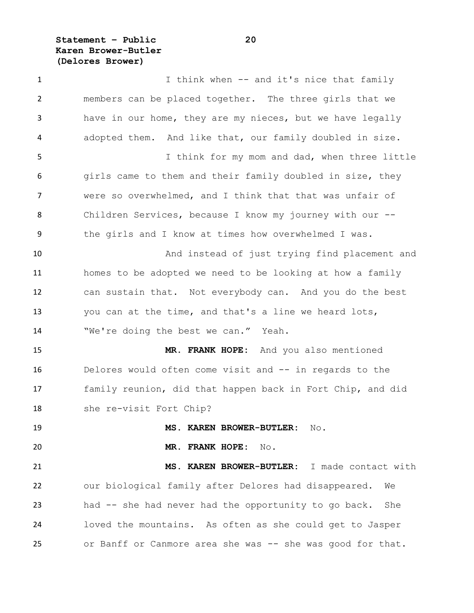**Statement – Public 20 Karen Brower-Butler (Delores Brower)**

1 I think when -- and it's nice that family members can be placed together. The three girls that we have in our home, they are my nieces, but we have legally adopted them. And like that, our family doubled in size. I think for my mom and dad, when three little 6 girls came to them and their family doubled in size, they were so overwhelmed, and I think that that was unfair of Children Services, because I know my journey with our -- the girls and I know at times how overwhelmed I was. And instead of just trying find placement and homes to be adopted we need to be looking at how a family can sustain that. Not everybody can. And you do the best you can at the time, and that's a line we heard lots, 14 "We're doing the best we can." Yeah. **MR. FRANK HOPE:** And you also mentioned Delores would often come visit and -- in regards to the family reunion, did that happen back in Fort Chip, and did she re-visit Fort Chip? **MS. KAREN BROWER-BUTLER:** No. **MR. FRANK HOPE:** No. **MS. KAREN BROWER-BUTLER:** I made contact with our biological family after Delores had disappeared. We had -- she had never had the opportunity to go back. She loved the mountains. As often as she could get to Jasper 25 or Banff or Canmore area she was -- she was good for that.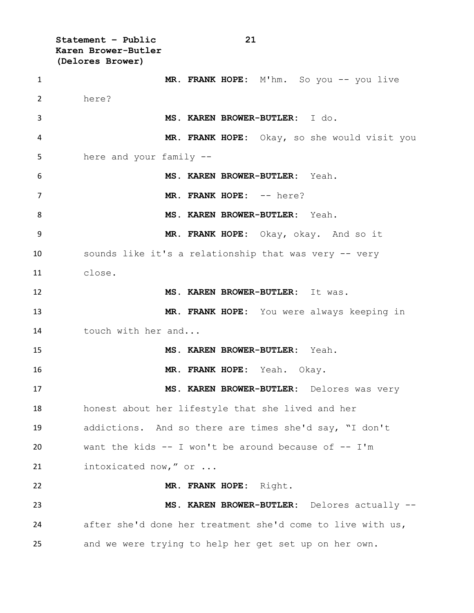**Statement – Public 21 Karen Brower-Butler (Delores Brower) MR. FRANK HOPE:** M'hm. So you -- you live here? **MS. KAREN BROWER-BUTLER:** I do. **MR. FRANK HOPE:** Okay, so she would visit you here and your family -- **MS. KAREN BROWER-BUTLER:** Yeah. **MR. FRANK HOPE:** -- here? **MS. KAREN BROWER-BUTLER:** Yeah. **MR. FRANK HOPE:** Okay, okay. And so it sounds like it's a relationship that was very -- very close. **MS. KAREN BROWER-BUTLER:** It was. **MR. FRANK HOPE:** You were always keeping in touch with her and... **MS. KAREN BROWER-BUTLER:** Yeah. **MR. FRANK HOPE:** Yeah. Okay. **MS. KAREN BROWER-BUTLER:** Delores was very honest about her lifestyle that she lived and her addictions. And so there are times she'd say, "I don't 20 want the kids  $-$  I won't be around because of  $-$  I'm 21 intoxicated now," or ... **MR. FRANK HOPE:** Right. **MS. KAREN BROWER-BUTLER:** Delores actually -- after she'd done her treatment she'd come to live with us, and we were trying to help her get set up on her own.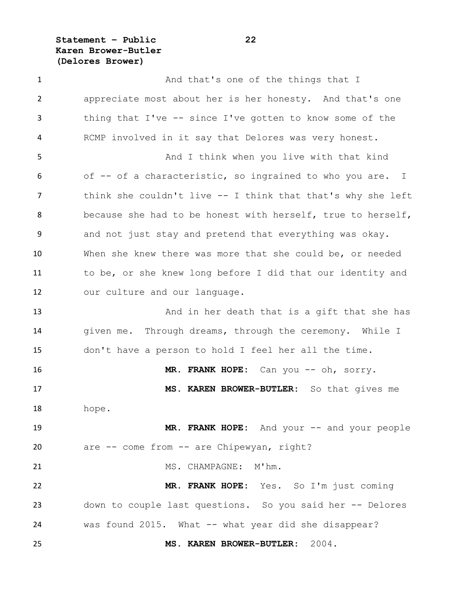**Statement – Public 22 Karen Brower-Butler (Delores Brower)**

1 And that's one of the things that I appreciate most about her is her honesty. And that's one thing that I've -- since I've gotten to know some of the RCMP involved in it say that Delores was very honest. And I think when you live with that kind of -- of a characteristic, so ingrained to who you are. I think she couldn't live -- I think that that's why she left because she had to be honest with herself, true to herself, and not just stay and pretend that everything was okay. When she knew there was more that she could be, or needed to be, or she knew long before I did that our identity and our culture and our language. 13 And in her death that is a gift that she has 14 given me. Through dreams, through the ceremony. While I don't have a person to hold I feel her all the time. 16 MR. FRANK HOPE: Can you -- oh, sorry. **MS. KAREN BROWER-BUTLER:** So that gives me hope. **MR. FRANK HOPE:** And your -- and your people are -- come from -- are Chipewyan, right? MS. CHAMPAGNE: M'hm. **MR. FRANK HOPE:** Yes. So I'm just coming down to couple last questions. So you said her -- Delores was found 2015. What -- what year did she disappear? **MS. KAREN BROWER-BUTLER:** 2004.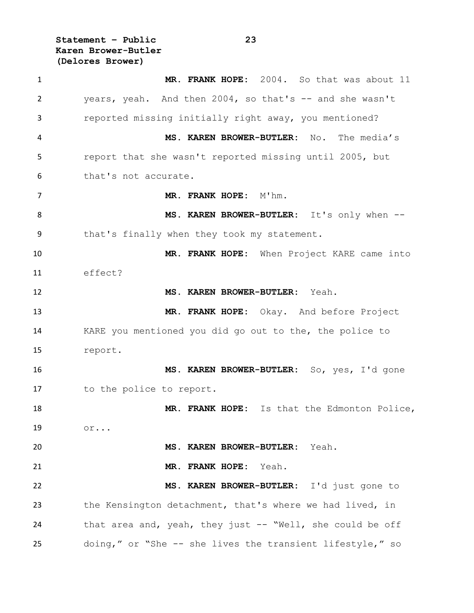**Statement – Public 23 Karen Brower-Butler (Delores Brower)**

 **MR. FRANK HOPE:** 2004. So that was about 11 years, yeah. And then 2004, so that's -- and she wasn't reported missing initially right away, you mentioned? **MS. KAREN BROWER-BUTLER:** No. The media's report that she wasn't reported missing until 2005, but that's not accurate. **MR. FRANK HOPE:** M'hm. **MS. KAREN BROWER-BUTLER:** It's only when -- that's finally when they took my statement. **MR. FRANK HOPE:** When Project KARE came into effect? **MS. KAREN BROWER-BUTLER:** Yeah. **MR. FRANK HOPE:** Okay. And before Project KARE you mentioned you did go out to the, the police to report. **MS. KAREN BROWER-BUTLER:** So, yes, I'd gone to the police to report. **MR. FRANK HOPE:** Is that the Edmonton Police, or... **MS. KAREN BROWER-BUTLER:** Yeah. **MR. FRANK HOPE:** Yeah. **MS. KAREN BROWER-BUTLER:** I'd just gone to the Kensington detachment, that's where we had lived, in that area and, yeah, they just -- "Well, she could be off doing," or "She -- she lives the transient lifestyle," so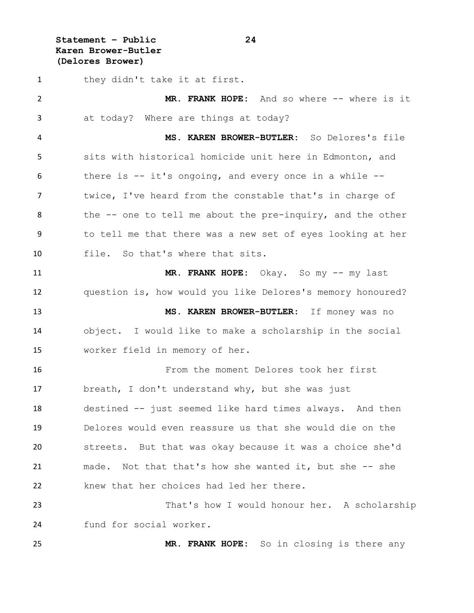**Statement – Public 24 Karen Brower-Butler (Delores Brower)**

1 they didn't take it at first. **MR. FRANK HOPE:** And so where -- where is it at today? Where are things at today? **MS. KAREN BROWER-BUTLER:** So Delores's file sits with historical homicide unit here in Edmonton, and there is -- it's ongoing, and every once in a while -- 7 twice, I've heard from the constable that's in charge of 8 the -- one to tell me about the pre-inquiry, and the other to tell me that there was a new set of eyes looking at her file. So that's where that sits. **MR. FRANK HOPE:** Okay. So my -- my last question is, how would you like Delores's memory honoured? **MS. KAREN BROWER-BUTLER:** If money was no object. I would like to make a scholarship in the social worker field in memory of her. From the moment Delores took her first breath, I don't understand why, but she was just destined -- just seemed like hard times always. And then Delores would even reassure us that she would die on the streets. But that was okay because it was a choice she'd made. Not that that's how she wanted it, but she -- she knew that her choices had led her there. That's how I would honour her. A scholarship fund for social worker.

**MR. FRANK HOPE:** So in closing is there any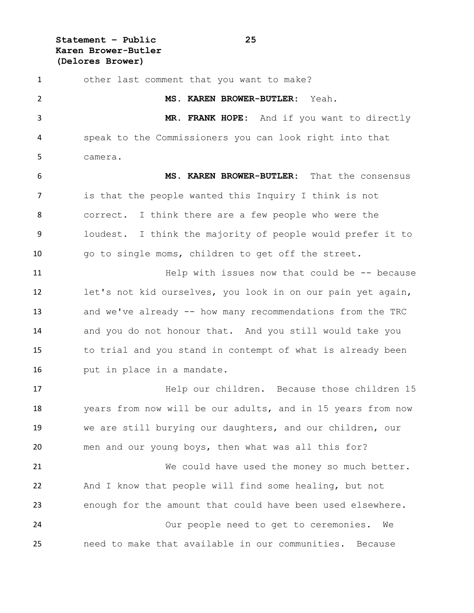**Statement – Public 25 Karen Brower-Butler (Delores Brower)**

| $\mathbf{1}$ | other last comment that you want to make?                   |
|--------------|-------------------------------------------------------------|
| 2            | MS. KAREN BROWER-BUTLER: Yeah.                              |
| 3            | MR. FRANK HOPE: And if you want to directly                 |
| 4            | speak to the Commissioners you can look right into that     |
| 5            | camera.                                                     |
| 6            | MS. KAREN BROWER-BUTLER: That the consensus                 |
| 7            | is that the people wanted this Inquiry I think is not       |
| 8            | correct. I think there are a few people who were the        |
| 9            | loudest. I think the majority of people would prefer it to  |
| 10           | go to single moms, children to get off the street.          |
| 11           | Help with issues now that could be $-$ - because            |
| 12           | let's not kid ourselves, you look in on our pain yet again, |
| 13           | and we've already -- how many recommendations from the TRC  |
| 14           | and you do not honour that. And you still would take you    |
| 15           | to trial and you stand in contempt of what is already been  |
| 16           | put in place in a mandate.                                  |
| 17           | Help our children. Because those children 15                |
| 18           | years from now will be our adults, and in 15 years from now |
| 19           | we are still burying our daughters, and our children, our   |
| 20           | men and our young boys, then what was all this for?         |
| 21           | We could have used the money so much better.                |
| 22           | And I know that people will find some healing, but not      |
| 23           | enough for the amount that could have been used elsewhere.  |
| 24           | Our people need to get to ceremonies.<br>We                 |
| 25           | need to make that available in our communities.<br>Because  |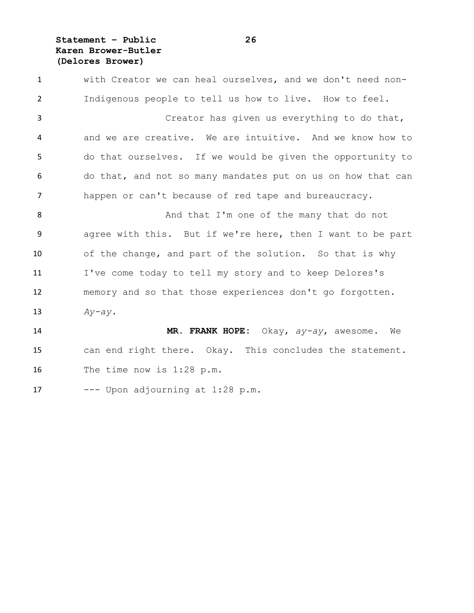**Statement – Public 26 Karen Brower-Butler (Delores Brower)**

 with Creator we can heal ourselves, and we don't need non- Indigenous people to tell us how to live. How to feel. Creator has given us everything to do that, and we are creative. We are intuitive. And we know how to do that ourselves. If we would be given the opportunity to do that, and not so many mandates put on us on how that can happen or can't because of red tape and bureaucracy. And that I'm one of the many that do not agree with this. But if we're here, then I want to be part of the change, and part of the solution. So that is why I've come today to tell my story and to keep Delores's memory and so that those experiences don't go forgotten. *Ay-ay*. **MR. FRANK HOPE:** Okay, *ay-ay*, awesome. We can end right there. Okay. This concludes the statement. The time now is 1:28 p.m.

17  $---$  Upon adjourning at 1:28 p.m.